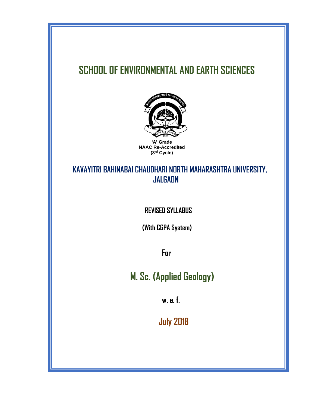# **SCHOOL OF ENVIRONMENTAL AND EARTH SCIENCES**



**NAAC Re-Accredited (3rd Cycle)**

# **KAVAYITRI BAHINABAI CHAUDHARI NORTH MAHARASHTRA UNIVERSITY, JALGAON**

 **REVISED SYLLABUS**

 **(With CGPA System)**

 **For**

 **M. Sc. (Applied Geology)**

 **w. e. f.**

 **July 2018**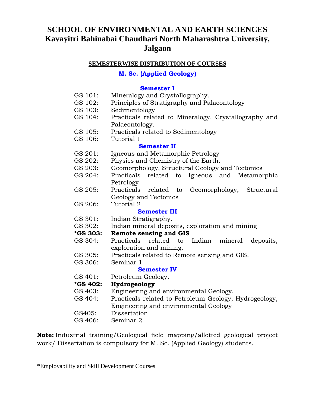# **SCHOOL OF ENVIRONMENTAL AND EARTH SCIENCES Kavayitri Bahinabai Chaudhari North Maharashtra University, Jalgaon**

### **SEMESTERWISE DISTRIBUTION OF COURSES**

### **M. Sc. (Applied Geology)**

### **Semester I**

- GS 101: Mineralogy and Crystallography.
- GS 102: Principles of Stratigraphy and Palaeontology
- GS 103: Sedimentology
- GS 104: Practicals related to Mineralogy, Crystallography and Palaeontology.
- GS 105: Practicals related to Sedimentology
- GS 106: Tutorial 1

#### **Semester II**

- GS 201: Igneous and Metamorphic Petrology
- GS 202: Physics and Chemistry of the Earth.
- GS 203: Geomorphology, Structural Geology and Tectonics
- GS 204: Practicals related to Igneous and Metamorphic Petrology
- GS 205: Practicals related to Geomorphology, Structural Geology and Tectonics
- GS 206: Tutorial 2

### **Semester III**

- GS 301: Indian Stratigraphy.
- GS 302: Indian mineral deposits, exploration and mining

#### **\*GS 303: Remote sensing and GIS**

- GS 304: Practicals related to Indian mineral deposits, exploration and mining.
- GS 305: Practicals related to Remote sensing and GIS.
- GS 306: Seminar 1

#### **Semester IV**

GS 401: Petroleum Geology.

#### **\*GS 402: Hydrogeology**

- GS 403: Engineering and environmental Geology.
- GS 404: Practicals related to Petroleum Geology, Hydrogeology,
	- Engineering and environmental Geology
- GS405: Dissertation
- GS 406: Seminar 2

**Note:** Industrial training/Geological field mapping/allotted geological project work/ Dissertation is compulsory for M. Sc. (Applied Geology) students.

\*Employability and Skill Development Courses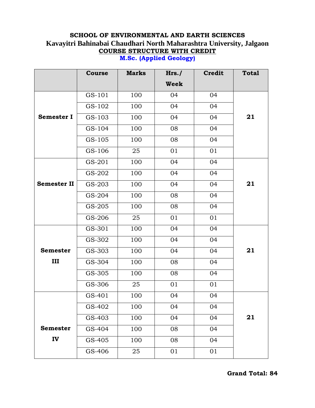# **SCHOOL OF ENVIRONMENTAL AND EARTH SCIENCES Kavayitri Bahinabai Chaudhari North Maharashtra University, Jalgaon COURSE STRUCTURE WITH CREDIT**

|                    | Course | <b>Marks</b> | Hrs.        | <b>Credit</b> | <b>Total</b> |
|--------------------|--------|--------------|-------------|---------------|--------------|
|                    |        |              | <b>Week</b> |               |              |
|                    | GS-101 | 100          | 04          | 04            |              |
|                    | GS-102 | 100          | 04          | 04            |              |
| <b>Semester I</b>  | GS-103 | 100          | 04          | 04            | 21           |
|                    | GS-104 | 100          | 08          | 04            |              |
|                    | GS-105 | 100          | 08          | 04            |              |
|                    | GS-106 | 25           | 01          | 01            |              |
|                    | GS-201 | 100          | 04          | 04            |              |
|                    | GS-202 | 100          | 04          | 04            |              |
| <b>Semester II</b> | GS-203 | 100          | 04          | 04            | 21           |
|                    | GS-204 | 100          | 08          | 04            |              |
|                    | GS-205 | 100          | 08          | 04            |              |
|                    | GS-206 | 25           | 01          | 01            |              |
|                    | GS-301 | 100          | 04          | 04            |              |
|                    | GS-302 | 100          | 04          | 04            |              |
| <b>Semester</b>    | GS-303 | 100          | 04          | 04            | 21           |
| Ш                  | GS-304 | 100          | 08          | 04            |              |
|                    | GS-305 | 100          | 08          | 04            |              |
|                    | GS-306 | 25           | 01          | 01            |              |
|                    | GS-401 | 100          | 04          | 04            |              |
|                    | GS-402 | 100          | 04          | 04            |              |
|                    | GS-403 | 100          | 04          | 04            | 21           |
| <b>Semester</b>    | GS-404 | 100          | 08          | 04            |              |
| IV                 | GS-405 | 100          | 08          | 04            |              |
|                    | GS-406 | 25           | 01          | 01            |              |

**M.Sc. (Applied Geology)**

**Grand Total: 84**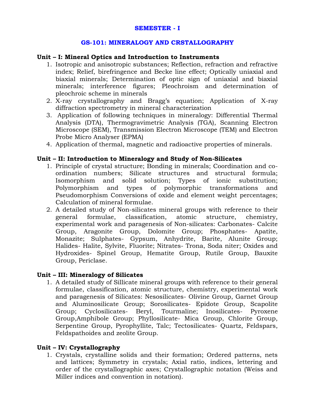### **GS-101: MINERALOGY AND CRSTALLOGRAPHY**

#### **Unit – I: Mineral Optics and Introduction to Instruments**

- 1. Isotropic and anisotropic substances; Reflection, refraction and refractive index; Relief, birefringence and Becke line effect; Optically uniaxial and biaxial minerals; Determination of optic sign of uniaxial and biaxial minerals; interference figures; Pleochroism and determination of pleochroic scheme in minerals
- 2. X-ray crystallography and Bragg's equation; Application of X-ray diffraction spectrometry in mineral characterization
- 3. Application of following techniques in mineralogy: Differential Thermal Analysis (DTA), Thermogravimetric Analysis (TGA), Scanning Electron Microscope (SEM), Transmission Electron Microscope (TEM) and Electron Probe Micro Analyser (EPMA)
- 4. Application of thermal, magnetic and radioactive properties of minerals.

### **Unit – II: Introduction to Mineralogy and Study of Non-Silicates**

- 1. Principle of crystal structure; Bonding in minerals; Coordination and coordination numbers; Silicate structures and structural formula; Isomorphism and solid solution; Types of ionic substitution; Polymorphism and types of polymorphic transformations and Pseudomorphism Conversions of oxide and element weight percentages; Calculation of mineral formulae.
- 2. A detailed study of Non-silicates mineral groups with reference to their general formulae, classification, atomic structure, chemistry, experimental work and paragenesis of Non-silicates: Carbonates- Calcite Group, Aragonite Group, Dolomite Group; Phosphates- Apatite, Monazite; Sulphates- Gypsum, Anhydrite, Barite, Alunite Group; Halides- Halite, Sylvite, Fluorite; Nitrates- Trona, Soda niter; Oxides and Hydroxides- Spinel Group, Hematite Group, Rutile Group, Bauxite Group, Periclase.

#### **Unit – III: Mineralogy of Silicates**

1. A detailed study of Sillicate mineral groups with reference to their general formulae, classification, atomic structure, chemistry, experimental work and paragenesis of Silicates: Nesosilicates- Olivine Group, Garnet Group and Aluminosilicate Group; Sorosilicates- Epidote Group, Scapolite Group; Cyclosilicates- Beryl, Tourmaline; Inosilicates- Pyroxene Group,Amphibole Group; Phyllosilicate- Mica Group, Chlorite Group, Serpentine Group, Pyrophyllite, Talc; Tectosilicates- Quartz, Feldspars, Feldspathoides and zeolite Group.

#### **Unit – IV: Crystallography**

1. Crystals, crystalline solids and their formation; Ordered patterns, nets and lattices; Symmetry in crystals; Axial ratio, indices, lettering and order of the crystallographic axes; Crystallographic notation (Weiss and Miller indices and convention in notation).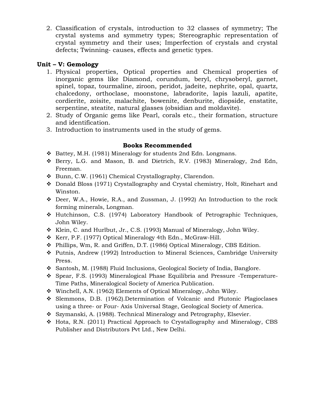2. Classification of crystals, introduction to 32 classes of symmetry; The crystal systems and symmetry types; Stereographic representation of crystal symmetry and their uses; Imperfection of crystals and crystal defects; Twinning- causes, effects and genetic types.

### **Unit – V: Gemology**

- 1. Physical properties, Optical properties and Chemical properties of inorganic gems like Diamond, corundum, beryl, chrysoberyl, garnet, spinel, topaz, tourmaline, ziroon, peridot, jadeite, nephrite, opal, quartz, chalcedony, orthoclase, moonstone, labradorite, lapis lazuli, apatite, cordierite, zoisite, malachite, bowenite, denburite, diopside, enstatite, serpentine, steatite, natural glasses (obsidian and moldavite).
- 2. Study of Organic gems like Pearl, corals etc., their formation, structure and identification.
- 3. Introduction to instruments used in the study of gems.

- ❖ Battey, M.H. (1981) Mineralogy for students 2nd Edn. Longmans.
- ❖ Berry, L.G. and Mason, B. and Dietrich, R.V. (1983) Mineralogy, 2nd Edn, Freeman.
- ❖ Bunn, C.W. (1961) Chemical Crystallography, Clarendon.
- ❖ Donald Bloss (1971) Crystallography and Crystal chemistry, Holt, Rinehart and Winston.
- ❖ Deer, W.A., Howie, R.A., and Zussman, J. (1992) An Introduction to the rock forming minerals, Longman.
- ❖ Hutchinson, C.S. (1974) Laboratory Handbook of Petrographic Techniques, John Wiley.
- ❖ Klein, C. and Hurlbut, Jr., C.S. (1993) Manual of Mineralogy, John Wiley.
- ❖ Kerr, P.F. (1977) Optical Mineralogy 4th Edn., McGraw-Hill.
- ❖ Phillips, Wm, R. and Griffen, D.T. (1986) Optical Mineralogy, CBS Edition.
- ❖ Putnis, Andrew (1992) Introduction to Mineral Sciences, Cambridge University Press.
- ❖ Santosh, M. (1988) Fluid Inclusions, Geological Society of India, Banglore.
- ❖ Spear, F.S. (1993) Mineralogical Phase Equilibria and Pressure -Temperature-Time Paths, Mineralogical Society of America Publication.
- ❖ Winchell, A.N. (1962) Elements of Optical Mineralogy, John Wiley.
- ❖ Slemmons, D.B. (1962).Determination of Volcanic and Plutonic Plagioclases using a three- or Four- Axis Universal Stage, Geological Society of America.
- ❖ Szymanski, A. (1988). Technical Mineralogy and Petrography, Elsevier.
- ❖ Hota, R.N. (2011) Practical Approach to Crystallography and Mineralogy, CBS Publisher and Distributors Pvt Ltd., New Delhi.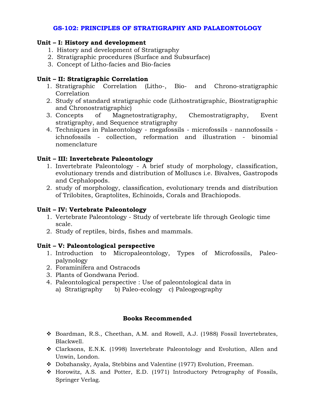### **GS-102: PRINCIPLES OF STRATIGRAPHY AND PALAEONTOLOGY**

### **Unit – I: History and development**

- 1. History and development of Stratigraphy
- 2. Stratigraphic procedures (Surface and Subsurface)
- 3. Concept of Litho-facies and Bio-facies

### **Unit – II: Stratigraphic Correlation**

- 1. Stratigraphic Correlation (Litho-, Bio- and Chrono-stratigraphic Correlation
- 2. Study of standard stratigraphic code (Lithostratigraphic, Biostratigraphic and Chronostratigraphic)
- 3. Concepts of Magnetostratigraphy, Chemostratigraphy, Event stratigraphy, and Sequence stratigraphy
- 4. Techniques in Palaeontology megafossils microfossils nannofossils ichnofossils - collection, reformation and illustration - binomial nomenclature

### **Unit – III: Invertebrate Paleontology**

- 1. Invertebrate Paleontology A brief study of morphology, classification, evolutionary trends and distribution of Molluscs i.e. Bivalves, Gastropods and Cephalopods.
- 2. study of morphology, classification, evolutionary trends and distribution of Trilobites, Graptolites, Echinoids, Corals and Brachiopods.

### **Unit – IV: Vertebrate Paleontology**

- 1. Vertebrate Paleontology Study of vertebrate life through Geologic time scale.
- 2. Study of reptiles, birds, fishes and mammals.

#### **Unit – V: Paleontological perspective**

- 1. Introduction to Micropaleontology, Types of Microfossils, Paleopalynology
- 2. Foraminifera and Ostracods
- 3. Plants of Gondwana Period.
- 4. Paleontological perspective : Use of paleontological data in
	- a) Stratigraphy b) Paleo-ecology c) Paleogeography

- ❖ Boardman, R.S., Cheethan, A.M. and Rowell, A.J. (1988) Fossil Invertebrates, Blackwell.
- ❖ Clarksons, E.N.K. (1998) Invertebrate Paleontology and Evolution, Allen and Unwin, London.
- ❖ Dobzhansky, Ayala, Stebbins and Valentine (1977) Evolution, Freeman.
- ❖ Horowitz, A.S. and Potter, E.D. (1971) Introductory Petrography of Fossils, Springer Verlag.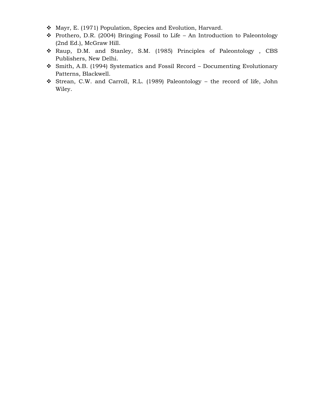- ❖ Mayr, E. (1971) Population, Species and Evolution, Harvard.
- ❖ Prothero, D.R. (2004) Bringing Fossil to Life An Introduction to Paleontology (2nd Ed.), McGraw Hill.
- ❖ Raup, D.M. and Stanley, S.M. (1985) Principles of Paleontology , CBS Publishers, New Delhi.
- ❖ Smith, A.B. (1994) Systematics and Fossil Record Documenting Evolutionary Patterns, Blackwell.
- ❖ Strean, C.W. and Carroll, R.L. (1989) Paleontology the record of life, John Wiley.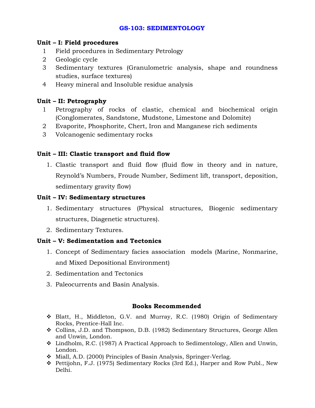### **GS-103: SEDIMENTOLOGY**

### **Unit – I: Field procedures**

- 1 Field procedures in Sedimentary Petrology
- 2 Geologic cycle
- 3 Sedimentary textures (Granulometric analysis, shape and roundness studies, surface textures)
- 4 Heavy mineral and Insoluble residue analysis

### **Unit – II: Petrography**

- 1 Petrography of rocks of clastic, chemical and biochemical origin (Conglomerates, Sandstone, Mudstone, Limestone and Dolomite)
- 2 Evaporite, Phosphorite, Chert, Iron and Manganese rich sediments
- 3 Volcanogenic sedimentary rocks

### **Unit – III: Clastic transport and fluid flow**

1. Clastic transport and fluid flow (fluid flow in theory and in nature, Reynold's Numbers, Froude Number, Sediment lift, transport, deposition, sedimentary gravity flow)

### **Unit – IV: Sedimentary structures**

- 1. Sedimentary structures (Physical structures, Biogenic sedimentary structures, Diagenetic structures).
- 2. Sedimentary Textures.

### **Unit – V: Sedimentation and Tectonics**

- 1. Concept of Sedimentary facies association models (Marine, Nonmarine, and Mixed Depositional Environment)
- 2. Sedimentation and Tectonics
- 3. Paleocurrents and Basin Analysis.

- ❖ Blatt, H., Middleton, G.V. and Murray, R.C. (1980) Origin of Sedimentary Rocks, Prentice-Hall Inc.
- ❖ Collins, J.D. and Thompson, D.B. (1982) Sedimentary Structures, George Allen and Unwin, London.
- ❖ Lindholm, R.C. (1987) A Practical Approach to Sedimentology, Allen and Unwin, London.
- ❖ Miall, A.D. (2000) Principles of Basin Analysis, Springer-Verlag.
- ❖ Pettijohn, F.J. (1975) Sedimentary Rocks (3rd Ed.), Harper and Row Publ., New Delhi.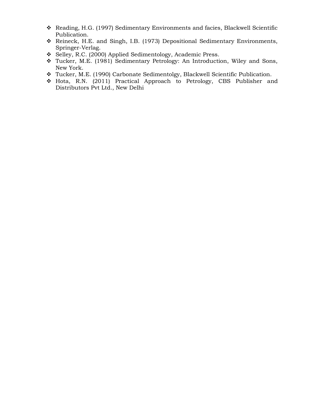- ❖ Reading, H.G. (1997) Sedimentary Environments and facies, Blackwell Scientific Publication.
- ❖ Reineck, H.E. and Singh, I.B. (1973) Depositional Sedimentary Environments, Springer-Verlag.
- ❖ Selley, R.C. (2000) Applied Sedimentology, Academic Press.
- ❖ Tucker, M.E. (1981) Sedimentary Petrology: An Introduction, Wiley and Sons, New York.
- ❖ Tucker, M.E. (1990) Carbonate Sedimentolgy, Blackwell Scientific Publication.
- ❖ Hota, R.N. (2011) Practical Approach to Petrology, CBS Publisher and Distributors Pvt Ltd., New Delhi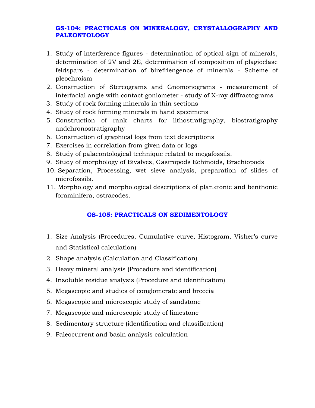### **GS-104: PRACTICALS ON MINERALOGY, CRYSTALLOGRAPHY AND PALEONTOLOGY**

- 1. Study of interference figures determination of optical sign of minerals, determination of 2V and 2E, determination of composition of plagioclase feldspars - determination of birefriengence of minerals - Scheme of pleochroism
- 2. Construction of Stereograms and Gnomonograms measurement of interfacial angle with contact goniometer - study of X-ray diffractograms
- 3. Study of rock forming minerals in thin sections
- 4. Study of rock forming minerals in hand specimens
- 5. Construction of rank charts for lithostratigraphy, biostratigraphy andchronostratigraphy
- 6. Construction of graphical logs from text descriptions
- 7. Exercises in correlation from given data or logs
- 8. Study of palaeontological technique related to megafossils.
- 9. Study of morphology of Bivalves, Gastropods Echinoids, Brachiopods
- 10. Separation, Processing, wet sieve analysis, preparation of slides of microfossils.
- 11. Morphology and morphological descriptions of planktonic and benthonic foraminifera, ostracodes.

### **GS-105: PRACTICALS ON SEDIMENTOLOGY**

- 1. Size Analysis (Procedures, Cumulative curve, Histogram, Visher's curve and Statistical calculation)
- 2. Shape analysis (Calculation and Classification)
- 3. Heavy mineral analysis (Procedure and identification)
- 4. Insoluble residue analysis (Procedure and identification)
- 5. Megascopic and studies of conglomerate and breccia
- 6. Megascopic and microscopic study of sandstone
- 7. Megascopic and microscopic study of limestone
- 8. Sedimentary structure (identification and classification)
- 9. Paleocurrent and basin analysis calculation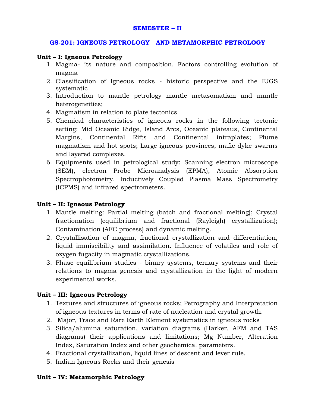#### **SEMESTER – II**

#### **GS-201: IGNEOUS PETROLOGY AND METAMORPHIC PETROLOGY**

#### **Unit – I: Igneous Petrology**

- 1. Magma- its nature and composition. Factors controlling evolution of magma
- 2. Classification of Igneous rocks historic perspective and the IUGS systematic
- 3. Introduction to mantle petrology mantle metasomatism and mantle heterogeneities;
- 4. Magmatism in relation to plate tectonics
- 5. Chemical characteristics of igneous rocks in the following tectonic setting: Mid Oceanic Ridge, Island Arcs, Oceanic plateaus, Continental Margins, Continental Rifts and Continental intraplates; Plume magmatism and hot spots; Large igneous provinces, mafic dyke swarms and layered complexes.
- 6. Equipments used in petrological study: Scanning electron microscope (SEM), electron Probe Microanalysis (EPMA), Atomic Absorption Spectrophotometry, Inductively Coupled Plasma Mass Spectrometry (ICPMS) and infrared spectrometers.

#### **Unit – II: Igneous Petrology**

- 1. Mantle melting: Partial melting (batch and fractional melting); Crystal fractionation (equilibrium and fractional (Rayleigh) crystallization); Contamination (AFC process) and dynamic melting.
- 2. Crystallisation of magma, fractional crystallization and differentiation, liquid immiscibility and assimilation. Influence of volatiles and role of oxygen fugacity in magmatic crystallizations.
- 3. Phase equilibrium studies binary systems, ternary systems and their relations to magma genesis and crystallization in the light of modern experimental works.

#### **Unit – III: Igneous Petrology**

- 1. Textures and structures of igneous rocks; Petrography and Interpretation of igneous textures in terms of rate of nucleation and crystal growth.
- 2. Major, Trace and Rare Earth Element systematics in igneous rocks
- 3. Silica/alumina saturation, variation diagrams (Harker, AFM and TAS diagrams) their applications and limitations; Mg Number, Alteration Index, Saturation Index and other geochemical parameters.
- 4. Fractional crystallization, liquid lines of descent and lever rule.
- 5. Indian Igneous Rocks and their genesis

#### **Unit – IV: Metamorphic Petrology**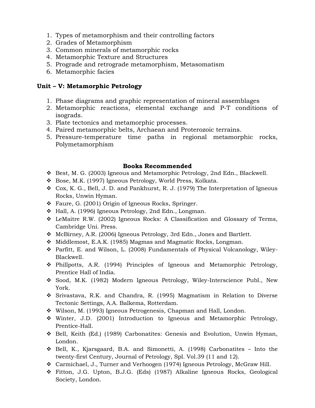- 1. Types of metamorphism and their controlling factors
- 2. Grades of Metamorphism
- 3. Common minerals of metamorphic rocks
- 4. Metamorphic Texture and Structures
- 5. Prograde and retrograde metamorphism, Metasomatism
- 6. Metamorphic facies

### **Unit – V: Metamorphic Petrology**

- 1. Phase diagrams and graphic representation of mineral assemblages
- 2. Metamorphic reactions, elemental exchange and P-T conditions of isograds.
- 3. Plate tectonics and metamorphic processes.
- 4. Paired metamorphic belts, Archaean and Proterozoic terrains.
- 5. Pressure-temperature time paths in regional metamorphic rocks, Polymetamorphism

- ❖ Best, M. G. (2003) Igneous and Metamorphic Petrology, 2nd Edn., Blackwell.
- ❖ Bose, M.K. (1997) Igneous Petrology, World Press, Kolkata.
- ❖ Cox, K. G., Bell, J. D. and Pankhurst, R. J. (1979) The Interpretation of Igneous Rocks, Unwin Hyman.
- ❖ Faure, G. (2001) Origin of Igneous Rocks, Springer.
- ❖ Hall, A. (1996) Igneous Petrology, 2nd Edn., Longman.
- ❖ LeMaitre R.W. (2002) Igneous Rocks: A Classification and Glossary of Terms, Cambridge Uni. Press.
- ❖ McBirney, A.R. (2006) Igneous Petrology, 3rd Edn., Jones and Bartlett.
- ❖ Middlemost, E.A.K. (1985) Magmas and Magmatic Rocks, Longman.
- ❖ Parfitt, E. and Wilson, L. (2008) Fundamentals of Physical Volcanology, Wiley-Blackwell.
- ❖ Phillpotts, A.R. (1994) Principles of Igneous and Metamorphic Petrology, Prentice Hall of India.
- ❖ Sood, M.K. (1982) Modern Igneous Petrology, Wiley-Interscience Publ., New York.
- ❖ Srivastava, R.K. and Chandra, R. (1995) Magmatism in Relation to Diverse Tectonic Settings, A.A. Balkema, Rotterdam.
- ❖ Wilson, M. (1993) Igneous Petrogenesis, Chapman and Hall, London.
- ❖ Winter, J.D. (2001) Introduction to Igneous and Metamorphic Petrology, Prentice-Hall.
- ❖ Bell, Keith (Ed.) (1989) Carbonatites: Genesis and Evolution, Unwin Hyman, London.
- $\div$  Bell, K., Kjarsgaard, B.A. and Simonetti, A. (1998) Carbonatites Into the twenty-first Century, Journal of Petrology, Spl. Vol.39 (11 and 12).
- ❖ Carmichael, J., Turner and Verhoogen (1974) Igneous Petrology, McGraw Hill.
- ❖ Fitton, J.G. Upton, B.J.G. (Eds) (1987) Alkaline Igneous Rocks, Geological Society, London.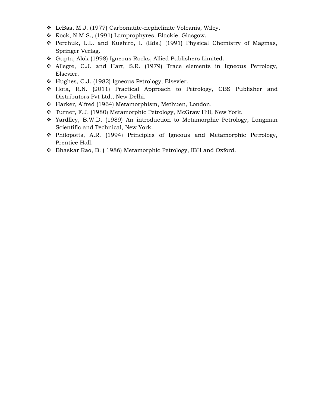- ❖ LeBas, M.J. (1977) Carbonatite-nephelinite Volcanis, Wiley.
- ❖ Rock, N.M.S., (1991) Lamprophyres, Blackie, Glasgow.
- ❖ Perchuk, L.L. and Kushiro, I. (Eds.) (1991) Physical Chemistry of Magmas, Springer Verlag.
- ❖ Gupta, Alok (1998) Igneous Rocks, Allied Publishers Limited.
- ❖ Allegre, C.J. and Hart, S.R. (1979) Trace elements in Igneous Petrology, Elsevier.
- ❖ Hughes, C.J. (1982) Igneous Petrology, Elsevier.
- ❖ Hota, R.N. (2011) Practical Approach to Petrology, CBS Publisher and Distributors Pvt Ltd., New Delhi.
- ❖ Harker, Alfred (1964) Metamorphism, Methuen, London.
- ❖ Turner, F.J. (1980) Metamorphic Petrology, McGraw Hill, New York.
- ❖ Yardlley, B.W.D. (1989) An introduction to Metamorphic Petrology, Longman Scientific and Technical, New York.
- ❖ Philopotts, A.R. (1994) Principles of Igneous and Metamorphic Petrology, Prentice Hall.
- ❖ Bhaskar Rao, B. ( 1986) Metamorphic Petrology, IBH and Oxford.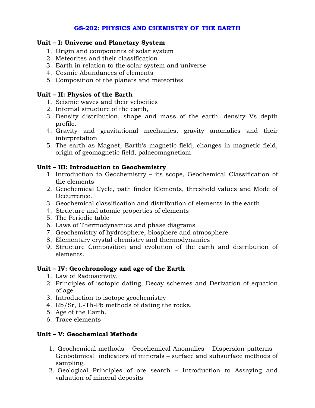### **GS-202: PHYSICS AND CHEMISTRY OF THE EARTH**

### **Unit – I: Universe and Planetary System**

- 1. Origin and components of solar system
- 2. Meteorites and their classification
- 3. Earth in relation to the solar system and universe
- 4. Cosmic Abundances of elements
- 5. Composition of the planets and meteorites

### **Unit – II: Physics of the Earth**

- 1. Seismic waves and their velocities
- 2. Internal structure of the earth,
- 3. Density distribution, shape and mass of the earth. density Vs depth profile.
- 4. Gravity and gravitational mechanics, gravity anomalies and their interpretation
- 5. The earth as Magnet, Earth's magnetic field, changes in magnetic field, origin of geomagnetic field, palaeomagnetism.

### **Unit – III: Introduction to Geochemistry**

- 1. Introduction to Geochemistry its scope, Geochemical Classification of the elements
- 2. Geochemical Cycle, path finder Elements, threshold values and Mode of Occurrence.
- 3. Geochemical classification and distribution of elements in the earth
- 4. Structure and atomic properties of elements
- 5. The Periodic table
- 6. Laws of Thermodynamics and phase diagrams
- 7. Geochemistry of hydrosphere, biosphere and atmosphere
- 8. Elementary crystal chemistry and thermodynamics
- 9. Structure Composition and evolution of the earth and distribution of elements.

#### **Unit – IV: Geochronology and age of the Earth**

- 1. Law of Radioactivity,
- 2. Principles of isotopic dating, Decay schemes and Derivation of equation of age.
- 3. Introduction to isotope geochemistry
- 4. Rb/Sr, U-Th-Pb methods of dating the rocks.
- 5. Age of the Earth.
- 6. Trace elements

### **Unit – V: Geochemical Methods**

- 1. Geochemical methods Geochemical Anomalies Dispersion patterns Geobotonical indicators of minerals – surface and subsurface methods of sampling.
- 2. Geological Principles of ore search Introduction to Assaying and valuation of mineral deposits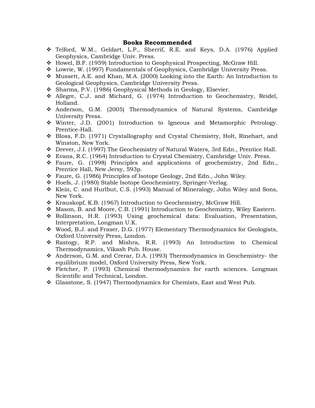- ❖ Telford, W.M., Geldart, L.P., Sherrif, R.E. and Keys, D.A. (1976) Applied Geophysics, Cambridge Univ. Press.
- ❖ Howel, B.F. (1959) Introduction to Geophysical Prospecting, McGraw Hill.
- ❖ Lowrie, W. (1997) Fundamentals of Geophysics, Cambridge University Press.
- ❖ Mussett, A.E. and Khan, M.A. (2000) Looking into the Earth: An Introduction to Geological Geophysics, Cambridge University Press.
- ❖ Sharma, P.V. (1986) Geophysical Methods in Geology, Elsevier.
- ❖ Allegre, C.J. and Michard, G. (1974) Introduction to Geochemistry, Reidel, Holland.
- ❖ Anderson, G.M. (2005) Thermodynamics of Natural Systems, Cambridge University Press.
- ❖ Winter, J.D. (2001) Introduction to Igneous and Metamorphic Petrology. Prentice-Hall.
- ❖ Bloss, F.D. (1971) Crystallography and Crystal Chemistry, Holt, Rinehart, and Winston, New York.
- ❖ Drever, J.I. (1997) The Geochemistry of Natural Waters, 3rd Edn., Prentice Hall.
- ❖ Evans, R.C. (1964) Introduction to Crystal Chemistry, Cambridge Univ. Press.
- ❖ Faure, G. (1998) Principles and applications of geochemistry, 2nd Edn., Prentice Hall, New Jersy, 593p.
- ❖ Faure, G. (1986) Principles of Isotope Geology, 2nd Edn., John Wiley.
- ❖ Hoefs, J. (1980) Stable Isotope Geochemistry, Springer-Verlag.
- ❖ Klein, C. and Hurlbut, C.S. (1993) Manual of Mineralogy, John Wiley and Sons, New York.
- ❖ Krauskopf, K.B. (1967) Introduction to Geochemistry, McGraw Hill.
- ❖ Mason, B. and Moore, C.B. (1991) Introduction to Geochemistry, Wiley Eastern.
- ❖ Rollinson, H.R. (1993) Using geochemical data: Evaluation, Presentation, Interpretation, Longman U.K.
- ❖ Wood, B.J. and Fraser, D.G. (1977) Elementary Thermodynamics for Geologists, Oxford University Press, London.
- ❖ Rastogy, R.P. and Mishra, R.R. (1993) An Introduction to Chemical Thermodynamics, Vikash Pub. House.
- ❖ Anderson, G.M. and Crerar, D.A. (1993) Thermodynamics in Geochemistry- the equilibrium model, Oxford University Press, New York.
- ❖ Fletcher, P. (1993) Chemical thermodynamics for earth sciences. Longman Scientific and Technical, London.
- ❖ Glasstone, S. (1947) Thermodynamics for Chemists, East and West Pub.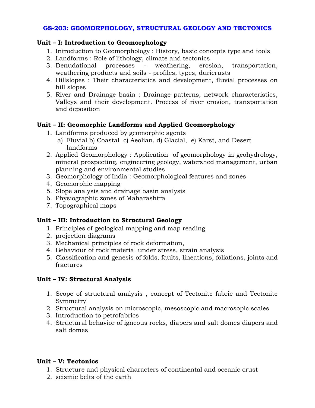### **GS-203: GEOMORPHOLOGY, STRUCTURAL GEOLOGY AND TECTONICS**

### **Unit – I: Introduction to Geomorphology**

- 1. Introduction to Geomorphology : History, basic concepts type and tools
- 2. Landforms : Role of lithology, climate and tectonics
- 3. Denudational processes weathering, erosion, transportation, weathering products and soils - profiles, types, duricrusts
- 4. Hillslopes : Their characteristics and development, fluvial processes on hill slopes
- 5. River and Drainage basin : Drainage patterns, network characteristics, Valleys and their development. Process of river erosion, transportation and deposition

### **Unit – II: Geomorphic Landforms and Applied Geomorphology**

- 1. Landforms produced by geomorphic agents
	- a) Fluvial b) Coastal c) Aeolian, d) Glacial, e) Karst, and Desert landforms
- 2. Applied Geomorphology : Application of geomorphology in geohydrology, mineral prospecting, engineering geology, watershed management, urban planning and environmental studies
- 3. Geomorphology of India : Geomorphological features and zones
- 4. Geomorphic mapping
- 5. Slope analysis and drainage basin analysis
- 6. Physiographic zones of Maharashtra
- 7. Topographical maps

### **Unit – III: Introduction to Structural Geology**

- 1. Principles of geological mapping and map reading
- 2. projection diagrams
- 3. Mechanical principles of rock deformation,
- 4. Behaviour of rock material under stress, strain analysis
- 5. Classification and genesis of folds, faults, lineations, foliations, joints and fractures

### **Unit – IV: Structural Analysis**

- 1. Scope of structural analysis , concept of Tectonite fabric and Tectonite Symmetry
- 2. Structural analysis on microscopic, mesoscopic and macrosopic scales
- 3. Introduction to petrofabrics
- 4. Structural behavior of igneous rocks, diapers and salt domes diapers and salt domes

### **Unit – V: Tectonics**

- 1. Structure and physical characters of continental and oceanic crust
- 2. seismic belts of the earth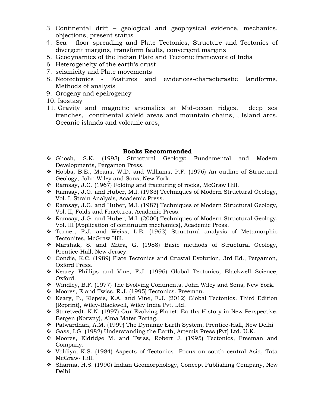- 3. Continental drift geological and geophysical evidence, mechanics, objections, present status
- 4. Sea floor spreading and Plate Tectonics, Structure and Tectonics of divergent margins, transform faults, convergent margins
- 5. Geodynamics of the Indian Plate and Tectonic framework of India
- 6. Heterogeneity of the earth's crust
- 7. seismicity and Plate movements
- 8. Neotectonics Features and evidences-characterastic landforms, Methods of analysis
- 9. Orogeny and epeirogency
- 10. Isostasy
- 11. Gravity and magnetic anomalies at Mid-ocean ridges, deep sea trenches, continental shield areas and mountain chains, , Island arcs, Oceanic islands and volcanic arcs,

- ❖ Ghosh, S.K. (1993) Structural Geology: Fundamental and Modern Developments, Pergamon Press.
- ❖ Hobbs, B.E., Means, W.D. and Williams, P.F. (1976) An outline of Structural Geology, John Wiley and Sons, New York.
- ❖ Ramsay, J.G. (1967) Folding and fracturing of rocks, McGraw Hill.
- ❖ Ramsay, J.G. and Huber, M.I. (1983) Techniques of Modern Structural Geology, Vol. I, Strain Analysis, Academic Press.
- ❖ Ramsay, J.G. and Huber, M.I. (1987) Techniques of Modern Structural Geology, Vol. II, Folds and Fractures, Academic Press.
- ❖ Ramsay, J.G. and Huber, M.I. (2000) Techniques of Modern Structural Geology, Vol. III (Application of continuum mechanics), Academic Press.
- ❖ Turner, F.J. and Weiss, L.E. (1963) Structural analysis of Metamorphic Tectonites, McGraw Hill.
- ❖ Marshak, S. and Mitra, G. (1988) Basic methods of Structural Geology, Prentice-Hall, New Jersey.
- ❖ Condie, K.C. (1989) Plate Tectonics and Crustal Evolution, 3rd Ed., Pergamon, Oxford Press.
- ❖ Kearey Phillips and Vine, F.J. (1996) Global Tectonics, Blackwell Science, Oxford.
- ❖ Windley, B.F. (1977) The Evolving Continents, John Wiley and Sons, New York.
- ❖ Moores, E and Twiss, R.J. (1995) Tectonics. Freeman.
- ❖ Keary, P., Klepeis, K.A. and Vine, F.J. (2012) Global Tectonics. Third Edition (Reprint), Wiley-Blackwell, Wiley India Pvt. Ltd.
- ❖ Storetvedt, K.N. (1997) Our Evolving Planet: Earths History in New Perspective. Bergen (Norway), Alma Mater Fortag.
- ❖ Patwardhan, A.M. (1999) The Dynamic Earth System, Prentice-Hall, New Delhi
- ❖ Gass, I.G. (1982) Understanding the Earth, Artemis Press (Pvt) Ltd. U.K.
- ❖ Moores, Eldridge M. and Twiss, Robert J. (1995) Tectonics, Freeman and Company.
- ❖ Valdiya, K.S. (1984) Aspects of Tectonics -Focus on south central Asia, Tata McGraw- Hill.
- ❖ Sharma, H.S. (1990) Indian Geomorphology, Concept Publishing Company, New Delhi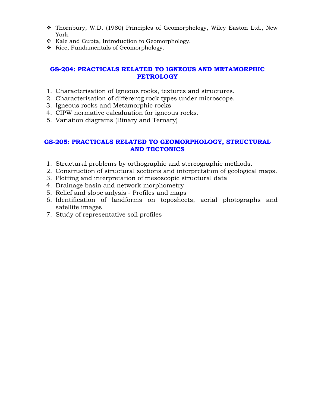- ❖ Thornbury, W.D. (1980) Principles of Geomorphology, Wiley Easton Ltd., New York
- ❖ Kale and Gupta, Introduction to Geomorphology.
- ❖ Rice, Fundamentals of Geomorphology.

### **GS-204: PRACTICALS RELATED TO IGNEOUS AND METAMORPHIC PETROLOGY**

- 1. Characterisation of Igneous rocks, textures and structures.
- 2. Characterisation of differentg rock types under microscope.
- 3. Igneous rocks and Metamorphic rocks
- 4. CIPW normative calcaluation for igneous rocks.
- 5. Variation diagrams (Binary and Ternary)

### **GS-205: PRACTICALS RELATED TO GEOMORPHOLOGY, STRUCTURAL AND TECTONICS**

- 1. Structural problems by orthographic and stereographic methods.
- 2. Construction of structural sections and interpretation of geological maps.
- 3. Plotting and interpretation of mesoscopic structural data
- 4. Drainage basin and network morphometry
- 5. Relief and slope anlysis Profiles and maps
- 6. Identification of landforms on toposheets, aerial photographs and satellite images
- 7. Study of representative soil profiles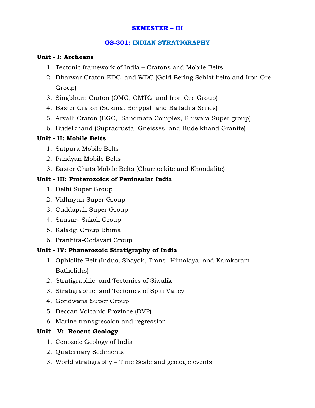### **SEMESTER – III**

### **GS-301: INDIAN STRATIGRAPHY**

#### **Unit - I: Archeans**

- 1. Tectonic framework of India Cratons and Mobile Belts
- 2. Dharwar Craton EDC and WDC (Gold Bering Schist belts and Iron Ore Group)
- 3. Singbhum Craton (OMG, OMTG and Iron Ore Group)
- 4. Baster Craton (Sukma, Bengpal and Bailadila Series)
- 5. Arvalli Craton (BGC, Sandmata Complex, Bhiwara Super group)
- 6. Budelkhand (Supracrustal Gneisses and Budelkhand Granite)

### **Unit - II: Mobile Belts**

- 1. Satpura Mobile Belts
- 2. Pandyan Mobile Belts
- 3. Easter Ghats Mobile Belts (Charnockite and Khondalite)

### **Unit - III: Proterozoics of Peninsular India**

- 1. Delhi Super Group
- 2. Vidhayan Super Group
- 3. Cuddapah Super Group
- 4. Sausar- Sakoli Group
- 5. Kaladgi Group Bhima
- 6. Pranhita-Godavari Group

### **Unit - IV: Phanerozoic Stratigraphy of India**

- 1. Ophiolite Belt (Indus, Shayok, Trans- Himalaya and Karakoram Batholiths)
- 2. Stratigraphic and Tectonics of Siwalik
- 3. Stratigraphic and Tectonics of Spiti Valley
- 4. Gondwana Super Group
- 5. Deccan Volcanic Province (DVP)
- 6. Marine transgression and regression

### **Unit - V: Recent Geology**

- 1. Cenozoic Geology of India
- 2. Quaternary Sediments
- 3. World stratigraphy Time Scale and geologic events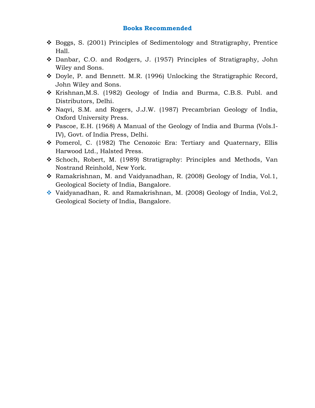- ❖ Boggs, S. (2001) Principles of Sedimentology and Stratigraphy, Prentice Hall.
- ❖ Danbar, C.O. and Rodgers, J. (1957) Principles of Stratigraphy, John Wiley and Sons.
- ❖ Doyle, P. and Bennett. M.R. (1996) Unlocking the Stratigraphic Record, John Wiley and Sons.
- ❖ Krishnan,M.S. (1982) Geology of India and Burma, C.B.S. Publ. and Distributors, Delhi.
- ❖ Naqvi, S.M. and Rogers, J.J.W. (1987) Precambrian Geology of India, Oxford University Press.
- ❖ Pascoe, E.H. (1968) A Manual of the Geology of India and Burma (Vols.I-IV), Govt. of India Press, Delhi.
- ❖ Pomerol, C. (1982) The Cenozoic Era: Tertiary and Quaternary, Ellis Harwood Ltd., Halsted Press.
- ❖ Schoch, Robert, M. (1989) Stratigraphy: Principles and Methods, Van Nostrand Reinhold, New York.
- ❖ Ramakrishnan, M. and Vaidyanadhan, R. (2008) Geology of India, Vol.1, Geological Society of India, Bangalore.
- ❖ Vaidyanadhan, R. and Ramakrishnan, M. (2008) Geology of India, Vol.2, Geological Society of India, Bangalore.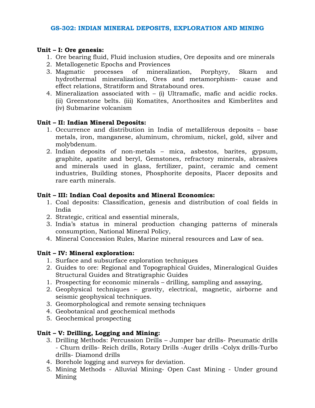### **Unit – I: Ore genesis:**

- 1. Ore bearing fluid, Fluid inclusion studies, Ore deposits and ore minerals
- 2. Metallogenetic Epochs and Proviences
- 3. Magmatic processes of mineralization, Porphyry, Skarn and hydrothermal mineralization, Ores and metamorphism- cause and effect relations, Stratiform and Stratabound ores.
- 4. Mineralization associated with (i) Ultramafic, mafic and acidic rocks. (ii) Greenstone belts. (iii) Komatites, Anorthosites and Kimberlites and (iv) Submarine volcanism

### **Unit – II: Indian Mineral Deposits:**

- 1. Occurrence and distribution in India of metalliferous deposits base metals, iron, manganese, aluminum, chromium, nickel, gold, silver and molybdenum.
- 2. Indian deposits of non-metals mica, asbestos, barites, gypsum, graphite, apatite and beryl, Gemstones, refractory minerals, abrasives and minerals used in glass, fertilizer, paint, ceramic and cement industries, Building stones, Phosphorite deposits, Placer deposits and rare earth minerals.

### **Unit – III: Indian Coal deposits and Mineral Economics:**

- 1. Coal deposits: Classification, genesis and distribution of coal fields in India
- 2. Strategic, critical and essential minerals,
- 3. India's status in mineral production changing patterns of minerals consumption, National Mineral Policy,
- 4. Mineral Concession Rules, Marine mineral resources and Law of sea.

#### **Unit – IV: Mineral exploration:**

- 1. Surface and subsurface exploration techniques
- 2. Guides to ore: Regional and Topographical Guides, Mineralogical Guides Structural Guides and Stratigraphic Guides
- 1. Prospecting for economic minerals drilling, sampling and assaying,
- 2. Geophysical techniques gravity, electrical, magnetic, airborne and seismic geophysical techniques.
- 3. Geomorphological and remote sensing techniques
- 4. Geobotanical and geochemical methods
- 5. Geochemical prospecting

### **Unit – V: Drilling, Logging and Mining:**

- 3. Drilling Methods: Percussion Drills Jumper bar drills- Pneumatic drills - Churn drills- Reich drills, Rotary Drills -Auger drills -Colyx drills-Turbo drills- Diamond drills
- 4. Borehole logging and surveys for deviation.
- 5. Mining Methods Alluvial Mining- Open Cast Mining Under ground Mining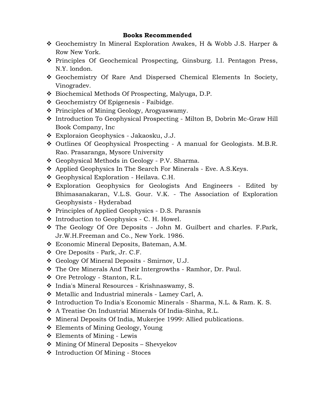- ❖ Geochemistry In Mineral Exploration Awakes, H & Wobb J.S. Harper & Row New York.
- ❖ Principles Of Geochemical Prospecting, Ginsburg. I.I. Pentagon Press, N.Y. london.
- ❖ Geochemistry Of Rare And Dispersed Chemical Elements In Society, Vinogradev.
- ❖ Biochemical Methods Of Prospecting, Malyuga, D.P.
- ❖ Geochemistry Of Epigenesis Faibidge.
- ❖ Principles of Mining Geology, Arogyaswamy.
- ❖ Introduction To Geophysical Prospecting Milton B, Dobrin Mc-Graw Hill Book Company, Inc
- ❖ Exploraion Geophysics Jakaosku, J.J.
- ❖ Outlines Of Geophysical Prospecting A manual for Geologists. M.B.R. Rao. Prasaranga, Mysore University
- ❖ Geophysical Methods in Geology P.V. Sharma.
- ❖ Applied Geophysics In The Search For Minerals Eve. A.S.Keys.
- ❖ Geophysical Exploration Heilava. C.H.
- ❖ Exploration Geophysics for Geologists And Engineers Edited by Bhimasanakaran, V.L.S. Gour. V.K. - The Association of Exploration Geophysists - Hyderabad
- ❖ Principles of Applied Geophysics D.S. Parasnis
- ❖ Introduction to Geophysics C. H. Howel.
- ❖ The Geology Of Ore Deposits John M. Guilbert and charles. F.Park, Jr.W.H.Freeman and Co., New York. 1986.
- ❖ Economic Mineral Deposits, Bateman, A.M.
- ❖ Ore Deposits Park, Jr. C.F.
- ❖ Geology Of Mineral Deposits Smirnov, U.J.
- ❖ The Ore Minerals And Their Intergrowths Ramhor, Dr. Paul.
- ❖ Ore Petrology Stanton, R.L.
- ❖ India's Mineral Resources Krishnaswamy, S.
- ❖ Metallic and Industrial minerals Lamey Carl, A.
- ❖ Introduction To India's Economic Minerals Sharma, N.L. & Ram. K. S.
- ❖ A Treatise On Industrial Minerals Of India-Sinha, R.L.
- ❖ Mineral Deposits Of India, Mukerjee 1999: Allied publications.
- ❖ Elements of Mining Geology, Young
- ❖ Elements of Mining Lewis
- ❖ Mining Of Mineral Deposits Shevyekov
- ❖ Introduction Of Mining Stoces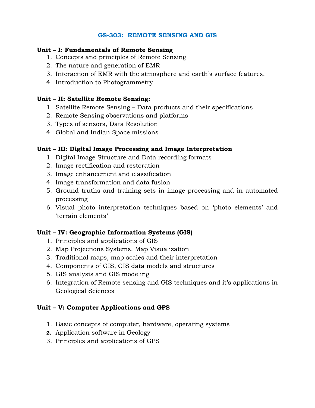### **GS-303: REMOTE SENSING AND GIS**

#### **Unit – I: Fundamentals of Remote Sensing**

- 1. Concepts and principles of Remote Sensing
- 2. The nature and generation of EMR
- 3. Interaction of EMR with the atmosphere and earth's surface features.
- 4. Introduction to Photogrammetry

### **Unit – II: Satellite Remote Sensing:**

- 1. Satellite Remote Sensing Data products and their specifications
- 2. Remote Sensing observations and platforms
- 3. Types of sensors, Data Resolution
- 4. Global and Indian Space missions

### **Unit – III: Digital Image Processing and Image Interpretation**

- 1. Digital Image Structure and Data recording formats
- 2. Image rectification and restoration
- 3. Image enhancement and classification
- 4. Image transformation and data fusion
- 5. Ground truths and training sets in image processing and in automated processing
- 6. Visual photo interpretation techniques based on 'photo elements' and 'terrain elements'

### **Unit – IV: Geographic Information Systems (GIS)**

- 1. Principles and applications of GIS
- 2. Map Projections Systems, Map Visualization
- 3. Traditional maps, map scales and their interpretation
- 4. Components of GIS, GIS data models and structures
- 5. GIS analysis and GIS modeling
- 6. Integration of Remote sensing and GIS techniques and it's applications in Geological Sciences

### **Unit – V: Computer Applications and GPS**

- 1. Basic concepts of computer, hardware, operating systems
- **2.** Application software in Geology
- 3. Principles and applications of GPS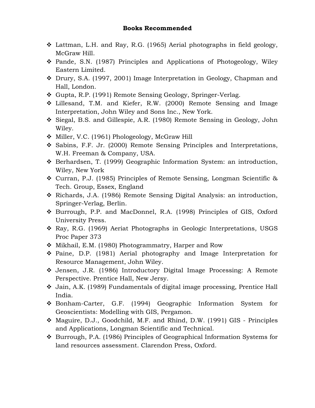- ❖ Lattman, L.H. and Ray, R.G. (1965) Aerial photographs in field geology, McGraw Hill.
- ❖ Pande, S.N. (1987) Principles and Applications of Photogeology, Wiley Eastern Limited.
- ❖ Drury, S.A. (1997, 2001) Image Interpretation in Geology, Chapman and Hall, London.
- ❖ Gupta, R.P. (1991) Remote Sensing Geology, Springer-Verlag.
- ❖ Lillesand, T.M. and Kiefer, R.W. (2000) Remote Sensing and Image Interpretation, John Wiley and Sons Inc., New York.
- ❖ Siegal, B.S. and Gillespie, A.R. (1980) Remote Sensing in Geology, John Wiley.
- ❖ Miller, V.C. (1961) Phologeology, McGraw Hill
- ❖ Sabins, F.F. Jr. (2000) Remote Sensing Principles and Interpretations, W.H. Freeman & Company, USA.
- ❖ Berhardsen, T. (1999) Geographic Information System: an introduction, Wiley, New York
- ❖ Curran, P.J. (1985) Principles of Remote Sensing, Longman Scientific & Tech. Group, Essex, England
- ❖ Richards, J.A. (1986) Remote Sensing Digital Analysis: an introduction, Springer-Verlag, Berlin.
- ❖ Burrough, P.P. and MacDonnel, R.A. (1998) Principles of GIS, Oxford University Press.
- ❖ Ray, R.G. (1969) Aeriat Photographs in Geologic Interpretations, USGS Proc Paper 373
- ❖ Mikhail, E.M. (1980) Photogrammatry, Harper and Row
- ❖ Paine, D.P. (1981) Aerial photography and Image Interpretation for Resource Management, John Wiley.
- ❖ Jensen, J.R. (1986) Introductory Digital Image Processing: A Remote Perspective. Prentice Hall, New Jersy.
- ❖ Jain, A.K. (1989) Fundamentals of digital image processing, Prentice Hall India.
- ❖ Bonham-Carter, G.F. (1994) Geographic Information System for Geoscientists: Modelling with GIS, Pergamon.
- ❖ Maguire, D.J., Goodchild, M.F. and Rhind, D.W. (1991) GIS Principles and Applications, Longman Scientific and Technical.
- ❖ Burrough, P.A. (1986) Principles of Geographical Information Systems for land resources assessment. Clarendon Press, Oxford.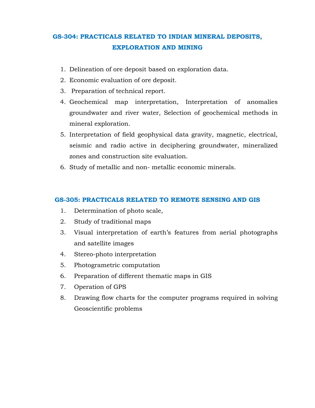## **GS-304: PRACTICALS RELATED TO INDIAN MINERAL DEPOSITS, EXPLORATION AND MINING**

- 1. Delineation of ore deposit based on exploration data.
- 2. Economic evaluation of ore deposit.
- 3. Preparation of technical report.
- 4. Geochemical map interpretation, Interpretation of anomalies groundwater and river water, Selection of geochemical methods in mineral exploration.
- 5. Interpretation of field geophysical data gravity, magnetic, electrical, seismic and radio active in deciphering groundwater, mineralized zones and construction site evaluation.
- 6. Study of metallic and non- metallic economic minerals.

#### **GS-305: PRACTICALS RELATED TO REMOTE SENSING AND GIS**

- 1. Determination of photo scale,
- 2. Study of traditional maps
- 3. Visual interpretation of earth's features from aerial photographs and satellite images
- 4. Stereo-photo interpretation
- 5. Photogrametric computation
- 6. Preparation of different thematic maps in GIS
- 7. Operation of GPS
- 8. Drawing flow charts for the computer programs required in solving Geoscientific problems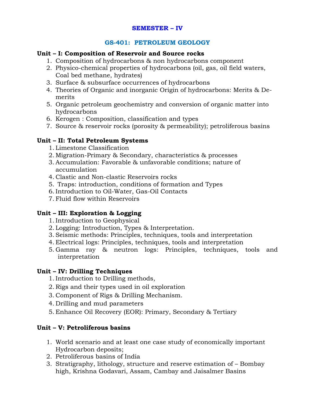### **SEMESTER – IV**

### **GS-401: PETROLEUM GEOLOGY**

### **Unit – I: Composition of Reservoir and Source rocks**

- 1. Composition of hydrocarbons & non hydrocarbons component
- 2. Physico-chemical properties of hydrocarbons (oil, gas, oil field waters, Coal bed methane, hydrates)
- 3. Surface & subsurface occurrences of hydrocarbons
- 4. Theories of Organic and inorganic Origin of hydrocarbons: Merits & Demerits
- 5. Organic petroleum geochemistry and conversion of organic matter into hydrocarbons
- 6. Kerogen : Composition, classification and types
- 7. Source & reservoir rocks (porosity & permeability); petroliferous basins

### **Unit – II: Total Petroleum Systems**

- 1. Limestone Classification
- 2. Migration-Primary & Secondary, characteristics & processes
- 3. Accumulation: Favorable & unfavorable conditions; nature of accumulation
- 4. Clastic and Non-clastic Reservoirs rocks
- 5. Traps: introduction, conditions of formation and Types
- 6. Introduction to Oil-Water, Gas-Oil Contacts
- 7. Fluid flow within Reservoirs

### **Unit – III: Exploration & Logging**

- 1. Introduction to Geophysical
- 2. Logging: Introduction, Types & Interpretation.
- 3. Seismic methods: Principles, techniques, tools and interpretation
- 4. Electrical logs: Principles, techniques, tools and interpretation
- 5. Gamma ray & neutron logs: Principles, techniques, tools and interpretation

### **Unit – IV: Drilling Techniques**

- 1. Introduction to Drilling methods,
- 2. Rigs and their types used in oil exploration
- 3. Component of Rigs & Drilling Mechanism.
- 4. Drilling and mud parameters
- 5. Enhance Oil Recovery (EOR): Primary, Secondary & Tertiary

### **Unit – V: Petroliferous basins**

- 1. World scenario and at least one case study of economically important Hydrocarbon deposits;
- 2. Petroliferous basins of India
- 3. Stratigraphy, lithology, structure and reserve estimation of Bombay high, Krishna Godavari, Assam, Cambay and Jaisalmer Basins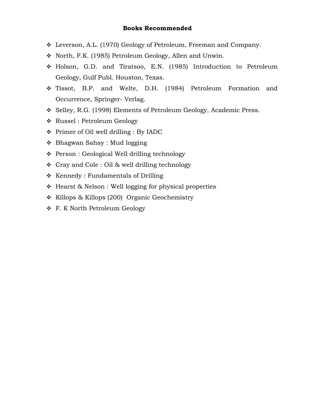- ❖ Leverson, A.L. (1970) Geology of Petroleum, Freeman and Company.
- ❖ North, F.K. (1985) Petroleum Geology, Allen and Unwin.
- ❖ Holson, G.D. and Tiratsoo, E.N. (1985) Introduction to Petroleum Geology, Gulf Publ. Houston, Texas.
- ❖ Tissot, B.P. and Welte, D.H. (1984) Petroleum Formation and Occurrence, Springer- Verlag.
- ❖ Selley, R.G. (1998) Elements of Petroleum Geology, Academic Press.
- ❖ Russel : Petroleum Geology
- ❖ Primer of Oil well drilling : By IADC
- ❖ Bhagwan Sahay : Mud logging
- ❖ Person : Geological Well drilling technology
- ❖ Cray and Cole : Oil & well drilling technology
- ❖ Kennedy : Fundamentals of Drilling
- ❖ Hearst & Nelson : Well logging for physical properties
- ❖ Killops & Killops (200) Organic Geochemistry
- ❖ F. K North Petroleum Geology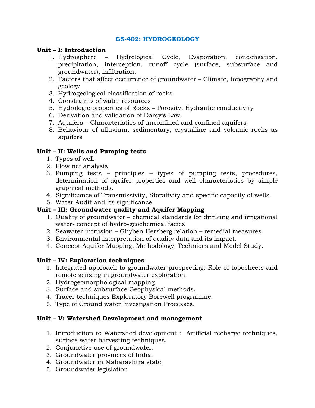### **GS-402: HYDROGEOLOGY**

### **Unit – I: Introduction**

- 1. Hydrosphere Hydrological Cycle, Evaporation, condensation, precipitation, interception, runoff cycle (surface, subsurface and groundwater), infiltration.
- 2. Factors that affect occurrence of groundwater Climate, topography and geology
- 3. Hydrogeological classification of rocks
- 4. Constraints of water resources
- 5. Hydrologic properties of Rocks Porosity, Hydraulic conductivity
- 6. Derivation and validation of Darcy's Law.
- 7. Aquifers Characteristics of unconfined and confined aquifers
- 8. Behaviour of alluvium, sedimentary, crystalline and volcanic rocks as aquifers

### **Unit – II: Wells and Pumping tests**

- 1. Types of well
- 2. Flow net analysis
- 3. Pumping tests principles types of pumping tests, procedures, determination of aquifer properties and well characteristics by simple graphical methods.
- 4. Significance of Transmissivity, Storativity and specific capacity of wells.
- 5. Water Audit and its significance.

### **Unit – III: Groundwater quality and Aquifer Mapping**

- 1. Quality of groundwater chemical standards for drinking and irrigational water- concept of hydro-geochemical facies
- 2. Seawater intrusion Ghyben Herzberg relation remedial measures
- 3. Environmental interpretation of quality data and its impact.
- 4. Concept Aquifer Mapping, Methodology, Techniqes and Model Study.

### **Unit – IV: Exploration techniques**

- 1. Integrated approach to groundwater prospecting: Role of toposheets and remote sensing in groundwater exploration
- 2. Hydrogeomorphological mapping
- 3. Surface and subsurface Geophysical methods,
- 4. Tracer techniques Exploratory Borewell programme.
- 5. Type of Ground water Investigation Processes.

### **Unit – V: Watershed Development and management**

- 1. Introduction to Watershed development : Artificial recharge techniques, surface water harvesting techniques.
- 2. Conjunctive use of groundwater.
- 3. Groundwater provinces of India.
- 4. Groundwater in Maharashtra state.
- 5. Groundwater legislation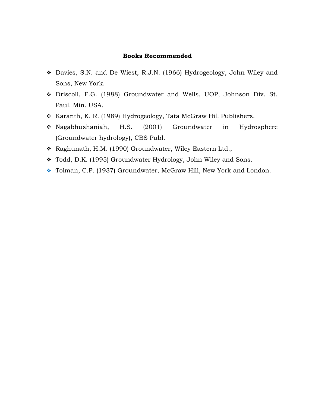- ❖ Davies, S.N. and De Wiest, R.J.N. (1966) Hydrogeology, John Wiley and Sons, New York.
- ❖ Driscoll, F.G. (1988) Groundwater and Wells, UOP, Johnson Div. St. Paul. Min. USA.
- ❖ Karanth, K. R. (1989) Hydrogeology, Tata McGraw Hill Publishers.
- ❖ Nagabhushaniah, H.S. (2001) Groundwater in Hydrosphere (Groundwater hydrology), CBS Publ.
- ❖ Raghunath, H.M. (1990) Groundwater, Wiley Eastern Ltd.,
- ❖ Todd, D.K. (1995) Groundwater Hydrology, John Wiley and Sons.
- ❖ Tolman, C.F. (1937) Groundwater, McGraw Hill, New York and London.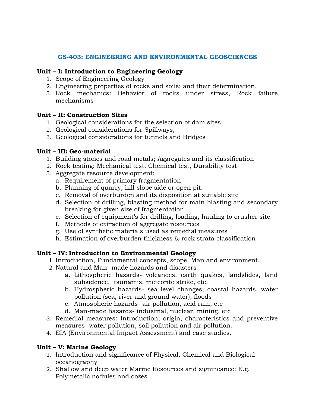### **GS-403: ENGINEERING AND ENVIRONMENTAL GEOSCIENCES**

### **Unit – I: Introduction to Engineering Geology**

- 1. Scope of Engineering Geology
- 2. Engineering properties of rocks and soils; and their determination.
- 3. Rock mechanics: Behavior of rocks under stress, Rock failure mechanisms

### **Unit – II: Construction Sites**

- 1. Geological considerations for the selection of dam sites
- 2. Geological considerations for Spillways,
- 3. Geological considerations for tunnels and Bridges

### **Unit – III: Geo-material**

- 1. Building stones and road metals; Aggregates and its classification
- 2. Rock testing: Mechanical test, Chemical test, Durability test
- 3. Aggregate resource development:
	- a. Requirement of primary fragmentation
	- b. Planning of quarry, hill slope side or open pit.
	- c. Removal of overburden and its disposition at suitable site
	- d. Selection of drilling, blasting method for main blasting and secondary breaking for given size of fragmentation
	- e. Selection of equipment's for drilling, loading, hauling to crusher site
	- f. Methods of extraction of aggregate resources
	- g. Use of synthetic materials used as remedial measures
	- h. Estimation of overburden thickness & rock strata classification

### **Unit – IV: Introduction to Environmental Geology**

- 1. Introduction, Fundamental concepts, scope. Man and environment.
- 2. Natural and Man- made hazards and disasters
	- a. Lithospheric hazards- volcanoes, earth quakes, landslides, land subsidence, tsunamis, meteorite strike, etc.
	- b. Hydrospheric hazards- sea level changes, coastal hazards, water pollution (sea, river and ground water), floods
	- c. Atmospheric hazards- air pollution, acid rain, etc
	- d. Man-made hazards- industrial, nuclear, mining, etc
- 3. Remedial measures: Introduction, origin, characteristics and preventive measures- water pollution, soil pollution and air pollution.
- 4. EIA (Environmental Impact Assessment) and case studies.

### **Unit – V: Marine Geology**

- 1. Introduction and significance of Physical, Chemical and Biological oceanography
- 2. Shallow and deep water Marine Resources and significance: E.g. Polymetalic nodules and oozes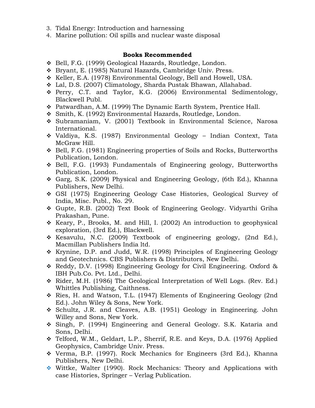- 3. Tidal Energy: Introduction and harnessing
- 4. Marine pollution: Oil spills and nuclear waste disposal

- ❖ Bell, F.G. (1999) Geological Hazards, Routledge, London.
- ❖ Bryant, E. (1985) Natural Hazards, Cambridge Univ. Press.
- ❖ Keller, E.A. (1978) Environmental Geology, Bell and Howell, USA.
- ❖ Lal, D.S. (2007) Climatology, Sharda Pustak Bhawan, Allahabad.
- ❖ Perry, C.T. and Taylor, K.G. (2006) Environmental Sedimentology, Blackwell Publ.
- ❖ Patwardhan, A.M. (1999) The Dynamic Earth System, Prentice Hall.
- ❖ Smith, K. (1992) Environmental Hazards, Routledge, London.
- ❖ Subramaniam, V. (2001) Textbook in Environmental Science, Narosa International.
- ❖ Valdiya, K.S. (1987) Environmental Geology Indian Context, Tata McGraw Hill.
- ❖ Bell, F.G. (1981) Engineering properties of Soils and Rocks, Butterworths Publication, London.
- ❖ Bell, F.G. (1993) Fundamentals of Engineering geology, Butterworths Publication, London.
- ❖ Garg, S.K. (2009) Physical and Engineering Geology, (6th Ed.), Khanna Publishers, New Delhi.
- ❖ GSI (1975) Engineering Geology Case Histories, Geological Survey of India, Misc. Publ., No. 29.
- ❖ Gupte, R.B. (2002) Text Book of Engineering Geology. Vidyarthi Griha Prakashan, Pune.
- ❖ Keary, P., Brooks, M. and Hill, I. (2002) An introduction to geophysical exploration, (3rd Ed.), Blackwell.
- ❖ Kesavulu, N.C. (2009) Textbook of engineering geology, (2nd Ed.), Macmillan Publishers India ltd.
- ❖ Krynine, D.P. and Judd, W.R. (1998) Principles of Engineering Geology and Geotechnics. CBS Publishers & Distributors, New Delhi.
- ❖ Reddy, D.V. (1998) Engineering Geology for Civil Engineering. Oxford & IBH Pub.Co. Pvt. Ltd., Delhi.
- ❖ Rider, M.H. (1986) The Geological Interpretation of Well Logs. (Rev. Ed.) Whittles Publishing, Caithness.
- ❖ Ries, H. and Watson, T.L. (1947) Elements of Engineering Geology (2nd Ed.). John Wiley & Sons, New York.
- ❖ Schultz, J.R. and Cleaves, A.B. (1951) Geology in Engineering. John Willey and Sons, New York.
- ❖ Singh, P. (1994) Engineering and General Geology. S.K. Kataria and Sons, Delhi.
- ❖ Telford, W.M., Geldart, L.P., Sherrif, R.E. and Keys, D.A. (1976) Applied Geophysics, Cambridge Univ. Press.
- ❖ Verma, B.P. (1997). Rock Mechanics for Engineers (3rd Ed.), Khanna Publishers, New Delhi.
- ❖ Wittke, Walter (1990). Rock Mechanics: Theory and Applications with case Histories, Springer – Verlag Publication.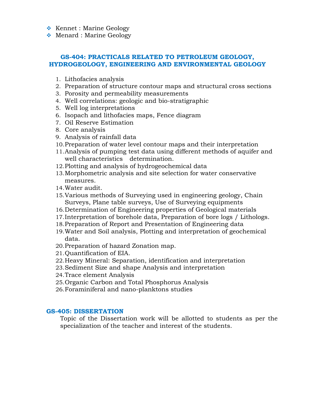- ❖ Kennet : Marine Geology
- ❖ Menard : Marine Geology

#### **GS-404: PRACTICALS RELATED TO PETROLEUM GEOLOGY, HYDROGEOLOGY, ENGINEERING AND ENVIRONMENTAL GEOLOGY**

- 1. Lithofacies analysis
- 2. Preparation of structure contour maps and structural cross sections
- 3. Porosity and permeability measurements
- 4. Well correlations: geologic and bio-stratigraphic
- 5. Well log interpretations
- 6. Isopach and lithofacies maps, Fence diagram
- 7. Oil Reserve Estimation
- 8. Core analysis
- 9. Analysis of rainfall data
- 10.Preparation of water level contour maps and their interpretation
- 11.Analysis of pumping test data using different methods of aquifer and well characteristics determination.
- 12.Plotting and analysis of hydrogeochemical data
- 13.Morphometric analysis and site selection for water conservative measures.
- 14.Water audit.
- 15.Various methods of Surveying used in engineering geology, Chain Surveys, Plane table surveys, Use of Surveying equipments
- 16.Determination of Engineering properties of Geological materials
- 17.Interpretation of borehole data, Preparation of bore logs / Lithologs.
- 18.Preparation of Report and Presentation of Engineering data
- 19.Water and Soil analysis, Plotting and interpretation of geochemical data.
- 20.Preparation of hazard Zonation map.
- 21.Quantification of EIA.
- 22.Heavy Mineral: Separation, identification and interpretation
- 23.Sediment Size and shape Analysis and interpretation
- 24.Trace element Analysis
- 25.Organic Carbon and Total Phosphorus Analysis
- 26.Foraminiferal and nano-planktons studies

#### **GS-405: DISSERTATION**

Topic of the Dissertation work will be allotted to students as per the specialization of the teacher and interest of the students.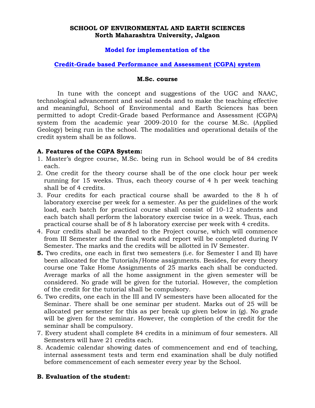#### **SCHOOL OF ENVIRONMENTAL AND EARTH SCIENCES North Maharashtra University, Jalgaon**

### **Model for implementation of the**

### **Credit-Grade based Performance and Assessment (CGPA) system**

#### **M.Sc. course**

In tune with the concept and suggestions of the UGC and NAAC, technological advancement and social needs and to make the teaching effective and meaningful, School of Environmental and Earth Sciences has been permitted to adopt Credit-Grade based Performance and Assessment (CGPA) system from the academic year 2009-2010 for the course M.Sc. (Applied Geology) being run in the school. The modalities and operational details of the credit system shall be as follows.

#### **A. Features of the CGPA System:**

- 1. Master's degree course, M.Sc. being run in School would be of 84 credits each.
- 2. One credit for the theory course shall be of the one clock hour per week running for 15 weeks. Thus, each theory course of 4 h per week teaching shall be of 4 credits.
- 3. Four credits for each practical course shall be awarded to the 8 h of laboratory exercise per week for a semester. As per the guidelines of the work load, each batch for practical course shall consist of 10-12 students and each batch shall perform the laboratory exercise twice in a week. Thus, each practical course shall be of 8 h laboratory exercise per week with 4 credits.
- 4. Four credits shall be awarded to the Project course, which will commence from III Semester and the final work and report will be completed during IV Semester. The marks and the credits will be allotted in IV Semester.
- **5.** Two credits, one each in first two semesters (i.e. for Semester I and II) have been allocated for the Tutorials/Home assignments. Besides, for every theory course one Take Home Assignments of 25 marks each shall be conducted. Average marks of all the home assignment in the given semester will be considered. No grade will be given for the tutorial. However, the completion of the credit for the tutorial shall be compulsory.
- 6. Two credits, one each in the III and IV semesters have been allocated for the Seminar. There shall be one seminar per student. Marks out of 25 will be allocated per semester for this as per break up given below in (g). No grade will be given for the seminar. However, the completion of the credit for the seminar shall be compulsory.
- 7. Every student shall complete 84 credits in a minimum of four semesters. All Semesters will have 21 credits each.
- 8. Academic calendar showing dates of commencement and end of teaching, internal assessment tests and term end examination shall be duly notified before commencement of each semester every year by the School.

#### **B. Evaluation of the student:**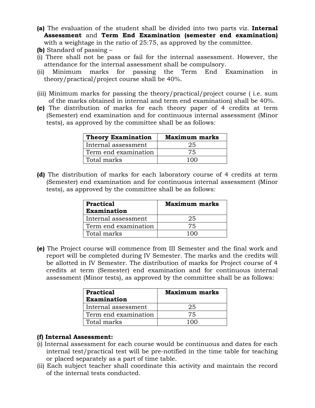- **(a)** The evaluation of the student shall be divided into two parts viz. **Internal Assessment** and **Term End Examination (semester end examination)**  with a weightage in the ratio of 25:75, as approved by the committee.
- **(b)** Standard of passing –
- (i) There shall not be pass or fail for the internal assessment. However, the attendance for the internal assessment shall be compulsory.
- (ii) Minimum marks for passing the Term End Examination in theory/practical/project course shall be 40%.
- (iii) Minimum marks for passing the theory/practical/project course ( i.e. sum of the marks obtained in internal and term end examination) shall be 40%.
- **(c)** The distribution of marks for each theory paper of 4 credits at term (Semester) end examination and for continuous internal assessment (Minor tests), as approved by the committee shall be as follows:

| Theory Examination   | <b>Maximum marks</b> |  |  |
|----------------------|----------------------|--|--|
| Internal assessment  | 25                   |  |  |
| Term end examination | 75                   |  |  |
| Total marks          | 100                  |  |  |

**(d)** The distribution of marks for each laboratory course of 4 credits at term (Semester) end examination and for continuous internal assessment (Minor tests), as approved by the committee shall be as follows:

| <b>Practical</b><br><b>Examination</b> | <b>Maximum marks</b> |  |
|----------------------------------------|----------------------|--|
| Internal assessment                    | 25                   |  |
| Term end examination                   | 75                   |  |
| Total marks                            |                      |  |

**(e)** The Project course will commence from III Semester and the final work and report will be completed during IV Semester. The marks and the credits will be allotted in IV Semester. The distribution of marks for Project course of 4 credits at term (Semester) end examination and for continuous internal assessment (Minor tests), as approved by the committee shall be as follows:

| <b>Practical</b><br><b>Examination</b> | <b>Maximum marks</b> |
|----------------------------------------|----------------------|
| Internal assessment                    | 25                   |
| Term end examination                   | 75                   |
| Total marks                            |                      |

### **(f) Internal Assessment:**

- (i) Internal assessment for each course would be continuous and dates for each internal test/practical test will be pre-notified in the time table for teaching or placed separately as a part of time table.
- (ii) Each subject teacher shall coordinate this activity and maintain the record of the internal tests conducted.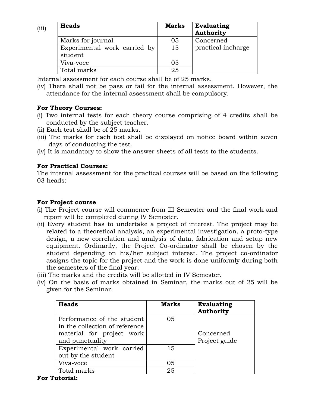| (iii) | <b>Heads</b>                            | <b>Marks</b> | Evaluating<br><b>Authority</b> |
|-------|-----------------------------------------|--------------|--------------------------------|
|       | Marks for journal                       | 05           | Concerned                      |
|       | Experimental work carried by<br>student | 15           | practical incharge             |
|       | Viva-voce                               | 05           |                                |
|       | Total marks                             | 25           |                                |

Internal assessment for each course shall be of 25 marks.

#### **For Theory Courses:**

- (i) Two internal tests for each theory course comprising of 4 credits shall be conducted by the subject teacher.
- (ii) Each test shall be of 25 marks.
- (iii) The marks for each test shall be displayed on notice board within seven days of conducting the test.
- (iv) It is mandatory to show the answer sheets of all tests to the students.

### **For Practical Courses:**

The internal assessment for the practical courses will be based on the following 03 heads:

### **For Project course**

- (i) The Project course will commence from III Semester and the final work and report will be completed during IV Semester.
- (ii) Every student has to undertake a project of interest. The project may be related to a theoretical analysis, an experimental investigation, a proto-type design, a new correlation and analysis of data, fabrication and setup new equipment. Ordinarily, the Project Co-ordinator shall be chosen by the student depending on his/her subject interest. The project co-ordinator assigns the topic for the project and the work is done uniformly during both the semesters of the final year.
- (iii) The marks and the credits will be allotted in IV Semester.
- (iv) On the basis of marks obtained in Seminar, the marks out of 25 will be given for the Seminar.

| <b>Heads</b>                                                                                                 | <b>Marks</b> | Evaluating<br><b>Authority</b> |
|--------------------------------------------------------------------------------------------------------------|--------------|--------------------------------|
| Performance of the student<br>in the collection of reference<br>material for project work<br>and punctuality | 05           | Concerned<br>Project guide     |
| Experimental work carried<br>out by the student                                                              | 15           |                                |
| Viva-voce                                                                                                    | 05           |                                |
| Total marks                                                                                                  | 25           |                                |

<sup>(</sup>iv) There shall not be pass or fail for the internal assessment. However, the attendance for the internal assessment shall be compulsory.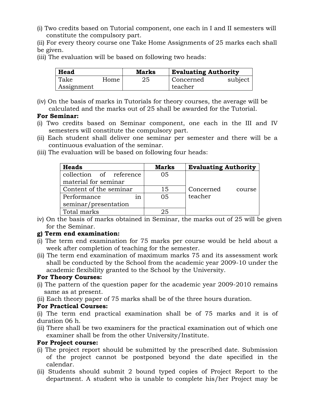(i) Two credits based on Tutorial component, one each in I and II semesters will constitute the compulsory part.

(ii) For every theory course one Take Home Assignments of 25 marks each shall be given.

(iii) The evaluation will be based on following two heads:

| Head       |      | <b>Marks</b> | <b>Evaluating Authority</b> |         |
|------------|------|--------------|-----------------------------|---------|
| Take       | Home | 25           | Concerned                   | subject |
| Assignment |      |              | teacher                     |         |

(iv) On the basis of marks in Tutorials for theory courses, the average will be calculated and the marks out of 25 shall be awarded for the Tutorial.

### **For Seminar:**

- (i) Two credits based on Seminar component, one each in the III and IV semesters will constitute the compulsory part.
- (ii) Each student shall deliver one seminar per semester and there will be a continuous evaluation of the seminar.
- (iii) The evaluation will be based on following four heads:

| <b>Heads</b>            | <b>Marks</b> | <b>Evaluating Authority</b> |
|-------------------------|--------------|-----------------------------|
| collection of reference | 05           |                             |
| material for seminar    |              |                             |
| Content of the seminar  | 15           | Concerned<br>course         |
| Performance<br>1n       | 05           | teacher                     |
| seminar/presentation    |              |                             |
| Total marks             | クら           |                             |

iv) On the basis of marks obtained in Seminar, the marks out of 25 will be given for the Seminar.

### **g) Term end examination:**

- (i) The term end examination for 75 marks per course would be held about a week after completion of teaching for the semester.
- (ii) The term end examination of maximum marks 75 and its assessment work shall be conducted by the School from the academic year 2009-10 under the academic flexibility granted to the School by the University.

### **For Theory Courses:**

- (i) The pattern of the question paper for the academic year 2009-2010 remains same as at present.
- (ii) Each theory paper of 75 marks shall be of the three hours duration.

### **For Practical Courses:**

- (i) The term end practical examination shall be of 75 marks and it is of duration 06 h.
- (ii) There shall be two examiners for the practical examination out of which one examiner shall be from the other University/Institute.

### **For Project course:**

- (i) The project report should be submitted by the prescribed date. Submission of the project cannot be postponed beyond the date specified in the calendar.
- (ii) Students should submit 2 bound typed copies of Project Report to the department. A student who is unable to complete his/her Project may be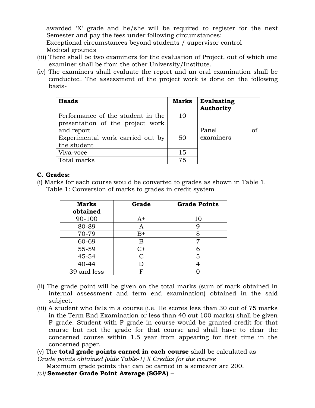awarded 'X' grade and he/she will be required to register for the next Semester and pay the fees under following circumstances:

Exceptional circumstances beyond students / supervisor control Medical grounds

- (iii) There shall be two examiners for the evaluation of Project, out of which one examiner shall be from the other University/Institute.
- (iv) The examiners shall evaluate the report and an oral examination shall be conducted. The assessment of the project work is done on the following basis-

| <b>Heads</b>                      | <b>Marks</b> | <b>Evaluating</b><br><b>Authority</b> |
|-----------------------------------|--------------|---------------------------------------|
| Performance of the student in the | 10           |                                       |
| presentation of the project work  |              |                                       |
| and report                        |              | Panel<br>of                           |
| Experimental work carried out by  | 50           | examiners                             |
| the student                       |              |                                       |
| Viva-voce                         | 15           |                                       |
| Total marks                       | 75           |                                       |

### **C. Grades:**

(i) Marks for each course would be converted to grades as shown in Table 1. Table 1: Conversion of marks to grades in credit system

| <b>Marks</b><br>obtained | Grade | <b>Grade Points</b> |
|--------------------------|-------|---------------------|
| 90-100                   | $A+$  | 10                  |
| 80-89                    | A     |                     |
| 70-79                    | $B+$  |                     |
| 60-69                    | В     |                     |
| 55-59                    | C+    |                     |
| 45-54                    | С     | 5                   |
| $40 - 44$                | D     |                     |
| 39 and less              | F     |                     |

- (ii) The grade point will be given on the total marks (sum of mark obtained in internal assessment and term end examination) obtained in the said subject.
- (iii) A student who fails in a course (i.e. He scores less than 30 out of 75 marks in the Term End Examination or less than 40 out 100 marks) shall be given F grade. Student with F grade in course would be granted credit for that course but not the grade for that course and shall have to clear the concerned course within 1.5 year from appearing for first time in the concerned paper.
- (v) The **total grade points earned in each course** shall be calculated as –

*Grade points obtained (vide Table-1) X Credits for the course* 

Maximum grade points that can be earned in a semester are 200.

*(vi)* **Semester Grade Point Average (SGPA)** *–*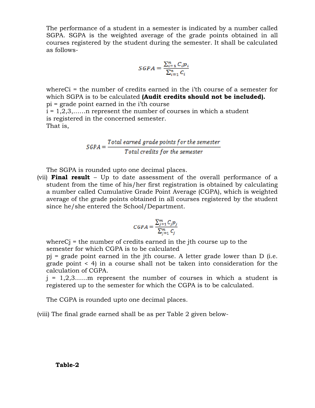The performance of a student in a semester is indicated by a number called SGPA. SGPA is the weighted average of the grade points obtained in all courses registered by the student during the semester. It shall be calculated as follows-

$$
SGPA = \frac{\sum_{i=1}^{n} C_i p_i}{\sum_{i=1}^{n} C_i}
$$

whereCi = the number of credits earned in the i'th course of a semester for which SGPA is to be calculated **(Audit credits should not be included).**  pi = grade point earned in the i'th course  $i = 1, 2, 3, \ldots$  represent the number of courses in which a student is registered in the concerned semester. That is,

 $\small \textit{SGPA} = \frac{\small \textit{Total earned grade points for the semester}}{\small \textit{Total credits for the semester}}$ 

The SGPA is rounded upto one decimal places.

(vii) **Final result** – Up to date assessment of the overall performance of a student from the time of his/her first registration is obtained by calculating a number called Cumulative Grade Point Average (CGPA), which is weighted average of the grade points obtained in all courses registered by the student since he/she entered the School/Department.

$$
CGPA = \frac{\sum_{j=1}^{m} C_j p_j}{\sum_{j=1}^{m} C_j}
$$

where  $C_j$  = the number of credits earned in the jth course up to the semester for which CGPA is to be calculated

pj = grade point earned in the jth course. A letter grade lower than D (i.e. grade point < 4) in a course shall not be taken into consideration for the calculation of CGPA.

 $j = 1, 2, 3, \ldots$  represent the number of courses in which a student is registered up to the semester for which the CGPA is to be calculated.

The CGPA is rounded upto one decimal places.

(viii) The final grade earned shall be as per Table 2 given below-

#### **Table-2**